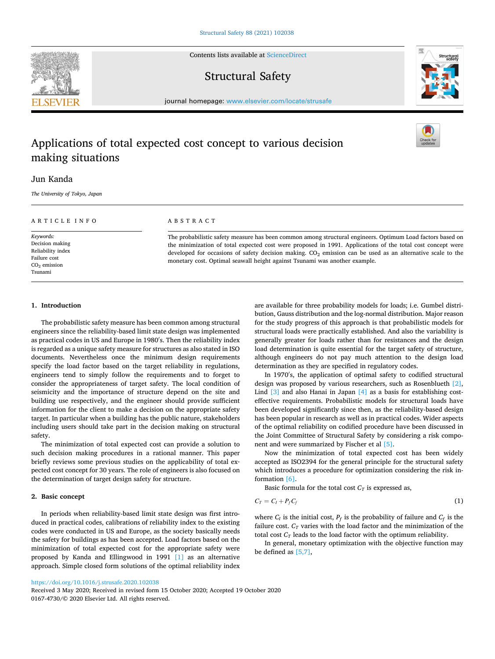Contents lists available at [ScienceDirect](www.sciencedirect.com/science/journal/01674730)

# Structural Safety

journal homepage: [www.elsevier.com/locate/strusafe](https://www.elsevier.com/locate/strusafe)

# Applications of total expected cost concept to various decision making situations

## Jun Kanda

*The University of Tokyo, Japan* 

ARTICLE INFO

*Keywords:*  Decision making Reliability index Failure cost CO2 emission Tsunami

## ABSTRACT

The probabilistic safety measure has been common among structural engineers. Optimum Load factors based on the minimization of total expected cost were proposed in 1991. Applications of the total cost concept were developed for occasions of safety decision making. CO<sub>2</sub> emission can be used as an alternative scale to the monetary cost. Optimal seawall height against Tsunami was another example.

### **1. Introduction**

The probabilistic safety measure has been common among structural engineers since the reliability-based limit state design was implemented as practical codes in US and Europe in 1980′ s. Then the reliability index is regarded as a unique safety measure for structures as also stated in ISO documents. Nevertheless once the minimum design requirements specify the load factor based on the target reliability in regulations, engineers tend to simply follow the requirements and to forget to consider the appropriateness of target safety. The local condition of seismicity and the importance of structure depend on the site and building use respectively, and the engineer should provide sufficient information for the client to make a decision on the appropriate safety target. In particular when a building has the public nature, stakeholders including users should take part in the decision making on structural safety.

The minimization of total expected cost can provide a solution to such decision making procedures in a rational manner. This paper briefly reviews some previous studies on the applicability of total expected cost concept for 30 years. The role of engineers is also focused on the determination of target design safety for structure.

### **2. Basic concept**

In periods when reliability-based limit state design was first introduced in practical codes, calibrations of reliability index to the existing codes were conducted in US and Europe, as the society basically needs the safety for buildings as has been accepted. Load factors based on the minimization of total expected cost for the appropriate safety were proposed by Kanda and Ellingwood in 1991 [\[1\]](#page-2-0) as an alternative approach. Simple closed form solutions of the optimal reliability index

accepted as ISO2394 for the general principle for the structural safety which introduces a procedure for optimization considering the risk information [\[6\]](#page-2-0). Basic formula for the total cost  $C_T$  is expressed as,

$$
C_T = C_I + P_f C_f \tag{1}
$$

Now the minimization of total expected cost has been widely

are available for three probability models for loads; i.e. Gumbel distribution, Gauss distribution and the log-normal distribution. Major reason for the study progress of this approach is that probabilistic models for structural loads were practically established. And also the variability is generally greater for loads rather than for resistances and the design load determination is quite essential for the target safety of structure, although engineers do not pay much attention to the design load

In 1970′ s, the application of optimal safety to codified structural design was proposed by various researchers, such as Rosenblueth [\[2\]](#page-2-0), Lind [\[3\]](#page-2-0) and also Hanai in Japan [\[4\]](#page-2-0) as a basis for establishing costeffective requirements. Probabilistic models for structural loads have been developed significantly since then, as the reliability-based design has been popular in research as well as in practical codes. Wider aspects of the optimal reliability on codified procedure have been discussed in the Joint Committee of Structural Safety by considering a risk compo-

determination as they are specified in regulatory codes.

nent and were summarized by Fischer et al [\[5\].](#page-2-0)

where  $C_I$  is the initial cost,  $P_f$  is the probability of failure and  $C_f$  is the failure cost.  $C_T$  varies with the load factor and the minimization of the total cost  $C_T$  leads to the load factor with the optimum reliability.

In general, monetary optimization with the objective function may be defined as [\[5,7\],](#page-2-0)

<https://doi.org/10.1016/j.strusafe.2020.102038>

0167-4730/© 2020 Elsevier Ltd. All rights reserved. Received 3 May 2020; Received in revised form 15 October 2020; Accepted 19 October 2020

<span id="page-0-0"></span>



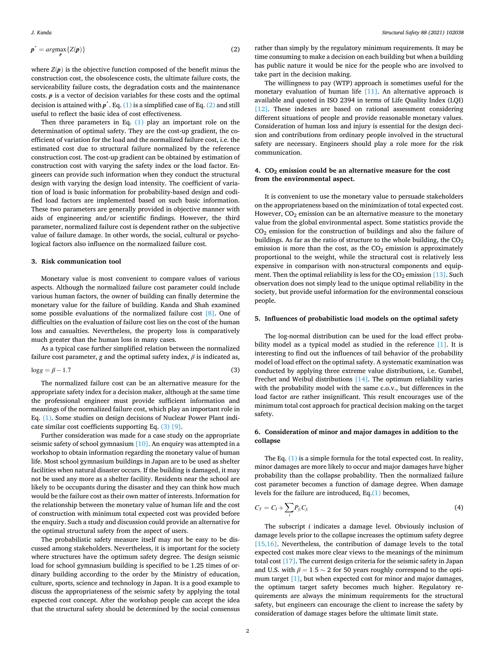<span id="page-1-0"></span>
$$
p^* = \underset{p}{arg\max} \{ Z(p) \} \tag{2}
$$

where  $Z(p)$  is the objective function composed of the benefit minus the construction cost, the obsolescence costs, the ultimate failure costs, the serviceability failure costs, the degradation costs and the maintenance costs. *p* is a vector of decision variables for these costs and the optimal decision is attained with  $p^*$ . Eq. [\(1\)](#page-0-0) is a simplified case of Eq. (2) and still useful to reflect the basic idea of cost effectiveness.

Then three parameters in Eq.  $(1)$  play an important role on the determination of optimal safety. They are the cost-up gradient, the coefficient of variation for the load and the normalized failure cost, i.e. the estimated cost due to structural failure normalized by the reference construction cost. The cost-up gradient can be obtained by estimation of construction cost with varying the safety index or the load factor. Engineers can provide such information when they conduct the structural design with varying the design load intensity. The coefficient of variation of load is basic information for probability-based design and codified load factors are implemented based on such basic information. These two parameters are generally provided in objective manner with aids of engineering and/or scientific findings. However, the third parameter, normalized failure cost is dependent rather on the subjective value of failure damage. In other words, the social, cultural or psychological factors also influence on the normalized failure cost.

#### **3. Risk communication tool**

Monetary value is most convenient to compare values of various aspects. Although the normalized failure cost parameter could include various human factors, the owner of building can finally determine the monetary value for the failure of building. Kanda and Shah examined some possible evaluations of the normalized failure cost [\[8\]](#page-2-0). One of difficulties on the evaluation of failure cost lies on the cost of the human loss and casualties. Nevertheless, the property loss is comparatively much greater than the human loss in many cases.

As a typical case further simplified relation between the normalized failure cost parameter, *g* and the optimal safety index, *β* is indicated as,

$$
\log g = \beta - 1.7 \tag{3}
$$

The normalized failure cost can be an alternative measure for the appropriate safety index for a decision maker, although at the same time the professional engineer must provide sufficient information and meanings of the normalized failure cost, which play an important role in Eq. [\(1\).](#page-0-0) Some studies on design decisions of Nuclear Power Plant indicate similar cost coefficients supporting Eq. (3) [\[9\].](#page-2-0)

Further consideration was made for a case study on the appropriate seismic safety of school gymnasium [\[10\].](#page-2-0) An enquiry was attempted in a workshop to obtain information regarding the monetary value of human life. Most school gymnasium buildings in Japan are to be used as shelter facilities when natural disaster occurs. If the building is damaged, it may not be used any more as a shelter facility. Residents near the school are likely to be occupants during the disaster and they can think how much would be the failure cost as their own matter of interests. Information for the relationship between the monetary value of human life and the cost of construction with minimum total expected cost was provided before the enquiry. Such a study and discussion could provide an alternative for the optimal structural safety from the aspect of users.

The probabilistic safety measure itself may not be easy to be discussed among stakeholders. Nevertheless, it is important for the society where structures have the optimum safety degree. The design seismic load for school gymnasium building is specified to be 1.25 times of ordinary building according to the order by the Ministry of education, culture, sports, science and technology in Japan. It is a good example to discuss the appropriateness of the seismic safety by applying the total expected cost concept. After the workshop people can accept the idea that the structural safety should be determined by the social consensus rather than simply by the regulatory minimum requirements. It may be time consuming to make a decision on each building but when a building has public nature it would be nice for the people who are involved to take part in the decision making.

The willingness to pay (WTP) approach is sometimes useful for the monetary evaluation of human life [\[11\]](#page-2-0). An alternative approach is available and quoted in ISO 2394 in terms of Life Quality Index (LQI) [\[12\]](#page-2-0). These indexes are based on rational assessment considering different situations of people and provide reasonable monetary values. Consideration of human loss and injury is essential for the design decision and contributions from ordinary people involved in the structural safety are necessary. Engineers should play a role more for the risk communication.

#### **4. CO2 emission could be an alternative measure for the cost from the environmental aspect.**

It is convenient to use the monetary value to persuade stakeholders on the appropriateness based on the minimization of total expected cost. However,  $CO<sub>2</sub>$  emission can be an alternative measure to the monetary value from the global environmental aspect. Some statistics provide the  $CO<sub>2</sub>$  emission for the construction of buildings and also the failure of buildings. As far as the ratio of structure to the whole building, the  $CO<sub>2</sub>$ emission is more than the cost, as the  $CO<sub>2</sub>$  emission is approximately proportional to the weight, while the structural cost is relatively less expensive in comparison with non-structural components and equipment. Then the optimal reliability is less for the  $CO<sub>2</sub>$  emission [\[13\].](#page-2-0) Such observation does not simply lead to the unique optimal reliability in the society, but provide useful information for the environmental conscious people.

#### **5. Influences of probabilistic load models on the optimal safety**

The log-normal distribution can be used for the load effect probability model as a typical model as studied in the reference [\[1\].](#page-2-0) It is interesting to find out the influences of tail behavior of the probability model of load effect on the optimal safety. A systematic examination was conducted by applying three extreme value distributions, i.e. Gumbel, Frechet and Weibul distributions [\[14\]](#page-2-0). The optimum reliability varies with the probability model with the same c.o.v., but differences in the load factor are rather insignificant. This result encourages use of the minimum total cost approach for practical decision making on the target safety.

### **6. Consideration of minor and major damages in addition to the collapse**

The Eq. [\(1\)](#page-0-0) is a simple formula for the total expected cost. In reality, minor damages are more likely to occur and major damages have higher probability than the collapse probability. Then the normalized failure cost parameter becomes a function of damage degree. When damage levels for the failure are introduced, Eq.[\(1\)](#page-0-0) becomes,

$$
C_T = C_I + \sum_i P_{f_i} C_{f_i} \tag{4}
$$

The subscript *i* indicates a damage level. Obviously inclusion of damage levels prior to the collapse increases the optimum safety degree [\[15,16\].](#page-2-0) Nevertheless, the contribution of damage levels to the total expected cost makes more clear views to the meanings of the minimum total cost [\[17\].](#page-2-0) The current design criteria for the seismic safety in Japan and U.S. with  $\beta = 1.5 \sim 2$  for 50 years roughly correspond to the optimum target [\[1\]](#page-2-0), but when expected cost for minor and major damages, the optimum target safety becomes much higher. Regulatory requirements are always the minimum requirements for the structural safety, but engineers can encourage the client to increase the safety by consideration of damage stages before the ultimate limit state.